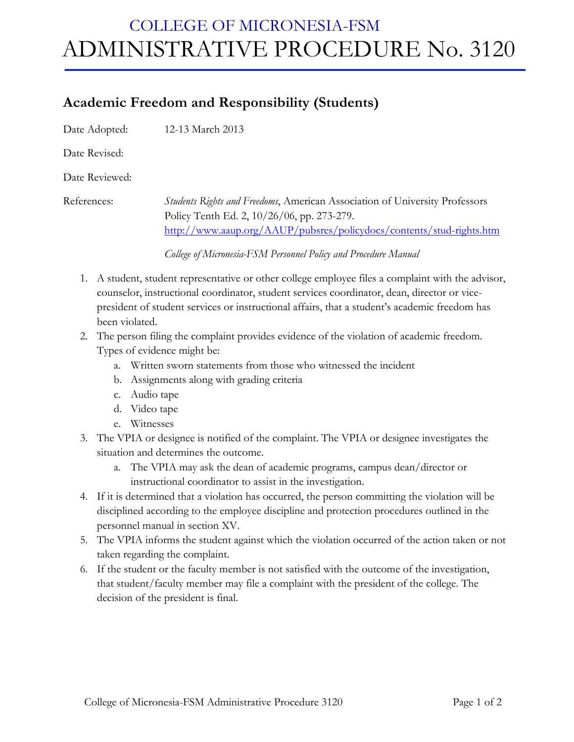## COLLEGE OF MICRONESIA-FSM ADMINISTRATIVE PROCEDURE No. 3120

## **Academic Freedom and Responsibility (Students)**

Date Adopted: 12-13 March 2013

Date Revised:

Date Reviewed:

References: *Students Rights and Freedoms*, American Association of University Professors Policy Tenth Ed. 2, 10/26/06, pp. 273-279. http://www.aaup.org/AAUP/pubsres/policydocs/contents/stud-rights.htm

*College of Micronesia-FSM Personnel Policy and Procedure Manual*

- 1. A student, student representative or other college employee files a complaint with the advisor, counselor, instructional coordinator, student services coordinator, dean, director or vicepresident of student services or instructional affairs, that a student's academic freedom has been violated.
- 2. The person filing the complaint provides evidence of the violation of academic freedom. Types of evidence might be:
	- a. Written sworn statements from those who witnessed the incident
	- b. Assignments along with grading criteria
	- c. Audio tape
	- d. Video tape
	- e. Witnesses
- 3. The VPIA or designee is notified of the complaint. The VPIA or designee investigates the situation and determines the outcome.
	- a. The VPIA may ask the dean of academic programs, campus dean/director or instructional coordinator to assist in the investigation.
- 4. If it is determined that a violation has occurred, the person committing the violation will be disciplined according to the employee discipline and protection procedures outlined in the personnel manual in section XV.
- 5. The VPIA informs the student against which the violation occurred of the action taken or not taken regarding the complaint.
- 6. If the student or the faculty member is not satisfied with the outcome of the investigation, that student/faculty member may file a complaint with the president of the college. The decision of the president is final.